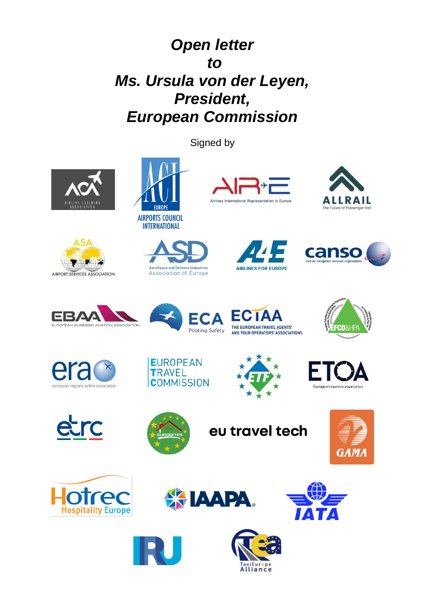## *Open letter to Ms. Ursula von der Leyen, President, European Commission*

Signed by







**INTERNATIONAL** 













**EX IAAPA** 









AeroSpace and Defence Industries

**Association of Europe** 









eu travel tech









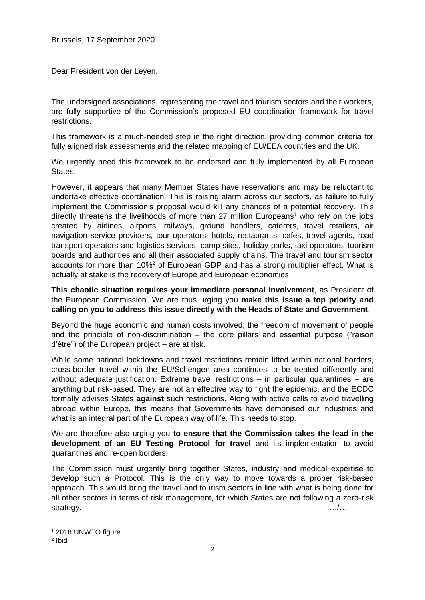Dear President von der Leyen,

The undersigned associations, representing the travel and tourism sectors and their workers, are fully supportive of the Commission's proposed EU coordination framework for travel restrictions.

This framework is a much-needed step in the right direction, providing common criteria for fully aligned risk assessments and the related mapping of EU/EEA countries and the UK.

We urgently need this framework to be endorsed and fully implemented by all European States.

However, it appears that many Member States have reservations and may be reluctant to undertake effective coordination. This is raising alarm across our sectors, as failure to fully implement the Commission's proposal would kill any chances of a potential recovery. This directly threatens the livelihoods of more than 27 million Europeans <sup>1</sup> who rely on the jobs created by airlines, airports, railways, ground handlers, caterers, travel retailers, air navigation service providers, tour operators, hotels, restaurants, cafes, travel agents, road transport operators and logistics services, camp sites, holiday parks, taxi operators, tourism boards and authorities and all their associated supply chains. The travel and tourism sector accounts for more than 10%<sup>2</sup> of European GDP and has a strong multiplier effect. What is actually at stake is the recovery of Europe and European economies.

**This chaotic situation requires your immediate personal involvement**, as President of the European Commission. We are thus urging you **make this issue a top priority and calling on you to address this issue directly with the Heads of State and Government**.

Beyond the huge economic and human costs involved, the freedom of movement of people and the principle of non-discrimination – the core pillars and essential purpose ("raison d'être") of the European project – are at risk.

While some national lockdowns and travel restrictions remain lifted within national borders, cross-border travel within the EU/Schengen area continues to be treated differently and without adequate justification. Extreme travel restrictions – in particular quarantines – are anything but risk-based. They are not an effective way to fight the epidemic, and the ECDC formally advises States **against** such restrictions. Along with active calls to avoid travelling abroad within Europe, this means that Governments have demonised our industries and what is an integral part of the European way of life. This needs to stop.

We are therefore also urging you **to ensure that the Commission takes the lead in the development of an EU Testing Protocol for travel** and its implementation to avoid quarantines and re-open borders.

The Commission must urgently bring together States, industry and medical expertise to develop such a Protocol. This is the only way to move towards a proper risk-based approach. This would bring the travel and tourism sectors in line with what is being done for all other sectors in terms of risk management, for which States are not following a zero-risk strategy. with the strategy strategy and the strategy  $\ldots$  .  $\ldots$ 

<sup>1</sup> 2018 UNWTO figure

<sup>2</sup> Ibid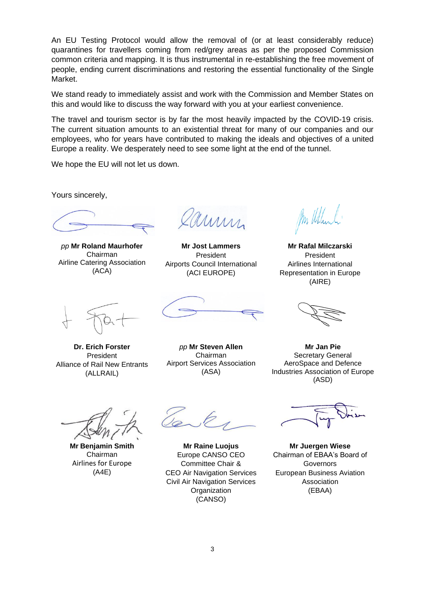An EU Testing Protocol would allow the removal of (or at least considerably reduce) quarantines for travellers coming from red/grey areas as per the proposed Commission common criteria and mapping. It is thus instrumental in re-establishing the free movement of people, ending current discriminations and restoring the essential functionality of the Single Market.

We stand ready to immediately assist and work with the Commission and Member States on this and would like to discuss the way forward with you at your earliest convenience.

The travel and tourism sector is by far the most heavily impacted by the COVID-19 crisis. The current situation amounts to an existential threat for many of our companies and our employees, who for years have contributed to making the ideals and objectives of a united Europe a reality. We desperately need to see some light at the end of the tunnel.

We hope the EU will not let us down.

Yours sincerely,

*pp* **Mr Roland Maurhofer** Chairman Airline Catering Association (ACA)

mm

**Mr Jost Lammers** President Airports Council International (ACI EUROPE)

**Mr Rafal Milczarski** President Airlines International Representation in Europe (AIRE)

**Dr. Erich Forster** President Alliance of Rail New Entrants (ALLRAIL)

*pp* **Mr Steven Allen** Chairman Airport Services Association (ASA)

**Mr Jan Pie** Secretary General AeroSpace and Defence Industries Association of Europe (ASD)

**Mr Benjamin Smith** Chairman Airlines for Europe (A4E)

**Mr Raine Luojus** Europe CANSO CEO Committee Chair & CEO Air Navigation Services Civil Air Navigation Services **Organization** (CANSO)

**Mr Juergen Wiese** Chairman of EBAA's Board of Governors European Business Aviation Association (EBAA)